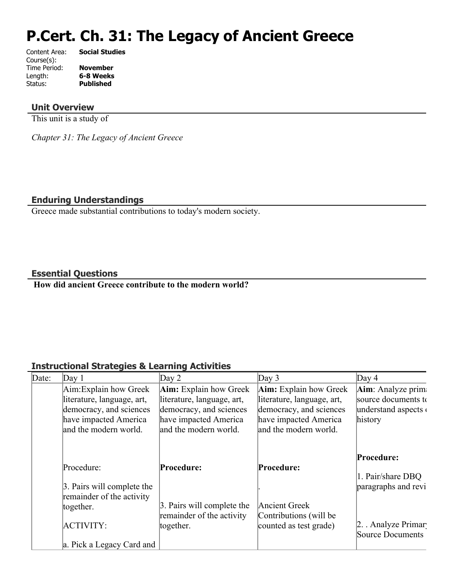# **P.Cert. Ch. 31: The Legacy of Ancient Greece**

| Content Area: | <b>Social Studies</b> |
|---------------|-----------------------|
| Course(s):    |                       |
| Time Period:  | <b>November</b>       |
| Length:       | 6-8 Weeks             |
| Status:       | <b>Published</b>      |
|               |                       |

## **Unit Overview**

This unit is a study of

*Chapter 31: The Legacy of Ancient Greece*

## **Enduring Understandings**

Greece made substantial contributions to today's modern society.

## **Essential Questions**

 **How did ancient Greece contribute to the modern world?**

# **Instructional Strategies & Learning Activities**

| Date: | Day $1$                    | Day $2$                       | Day $3$                       | Day $4$                   |
|-------|----------------------------|-------------------------------|-------------------------------|---------------------------|
|       | Aim: Explain how Greek     | <b>Aim:</b> Explain how Greek | <b>Aim:</b> Explain how Greek | <b>Aim</b> : Analyze prim |
|       | literature, language, art, | literature, language, art,    | literature, language, art,    | source documents to       |
|       | democracy, and sciences    | democracy, and sciences       | democracy, and sciences       | understand aspects        |
|       | have impacted America      | have impacted America         | have impacted America         | history                   |
|       | and the modern world.      | and the modern world.         | and the modern world.         |                           |
|       |                            |                               |                               |                           |
|       |                            |                               |                               | Procedure:                |
|       | Procedure:                 | Procedure:                    | Procedure:                    |                           |
|       |                            |                               |                               | 1. Pair/share DBQ         |
|       | 3. Pairs will complete the |                               |                               | paragraphs and revi       |
|       | remainder of the activity  |                               |                               |                           |
|       | together.                  | 3. Pairs will complete the    | Ancient Greek                 |                           |
|       |                            | remainder of the activity     | Contributions (will be        |                           |
|       | <b>ACTIVITY:</b>           | together.                     | counted as test grade)        | 2. Analyze Primar         |
|       |                            |                               |                               | Source Documents          |
|       | a. Pick a Legacy Card and  |                               |                               |                           |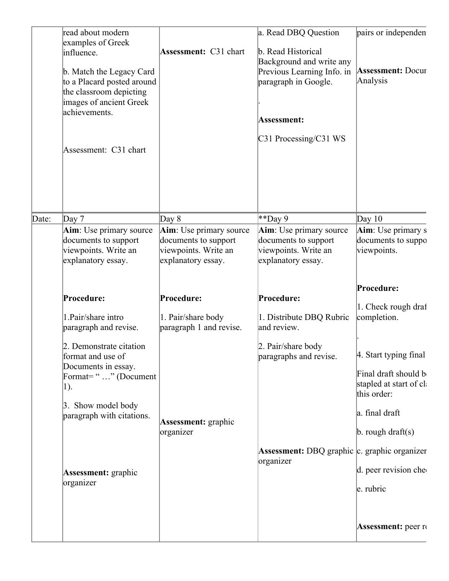|       | read about modern<br>examples of Greek<br>influence.<br>b. Match the Legacy Card<br>to a Placard posted around<br>the classroom depicting<br>images of ancient Greek<br>achievements.<br>Assessment: C31 chart                                                    | <b>Assessment: C31 chart</b>                                                                           | a. Read DBQ Question<br>b. Read Historical<br>Background and write any<br>Previous Learning Info. in<br>paragraph in Google.<br>Assessment:<br>C31 Processing/C31 WS | pairs or independen<br><b>Assessment: Docur</b><br>Analysis                                                                                                                                                                                    |
|-------|-------------------------------------------------------------------------------------------------------------------------------------------------------------------------------------------------------------------------------------------------------------------|--------------------------------------------------------------------------------------------------------|----------------------------------------------------------------------------------------------------------------------------------------------------------------------|------------------------------------------------------------------------------------------------------------------------------------------------------------------------------------------------------------------------------------------------|
| Date: | Day $7$<br>Aim: Use primary source<br>documents to support<br>viewpoints. Write an<br>explanatory essay.                                                                                                                                                          | Day 8<br>Aim: Use primary source<br>documents to support<br>viewpoints. Write an<br>explanatory essay. | $*$ *Day 9<br>Aim: Use primary source<br>documents to support<br>viewpoints. Write an<br>explanatory essay.                                                          | Day $10$<br>Aim: Use primary s<br>documents to suppo<br>viewpoints.                                                                                                                                                                            |
|       | Procedure:<br>1. Pair/share intro<br>paragraph and revise.<br>2. Demonstrate citation<br>format and use of<br>Documents in essay.<br>Format="" (Document<br>$ 1$ ).<br>3. Show model body<br>paragraph with citations.<br><b>Assessment:</b> graphic<br>organizer | Procedure:<br>1. Pair/share body<br>paragraph 1 and revise.<br><b>Assessment:</b> graphic<br>organizer | Procedure:<br>1. Distribute DBQ Rubric<br>and review.<br>2. Pair/share body<br>paragraphs and revise.<br>Assessment: DBQ graphic c. graphic organizer<br>organizer   | Procedure:<br>1. Check rough draf<br>completion.<br>4. Start typing final<br>Final draft should b<br>stapled at start of cl<br>this order:<br>a. final draft<br>$\mathbf{b}$ . rough draft $(\mathbf{s})$<br>d. peer revision che<br>e. rubric |
|       |                                                                                                                                                                                                                                                                   |                                                                                                        |                                                                                                                                                                      | <b>Assessment:</b> peer re                                                                                                                                                                                                                     |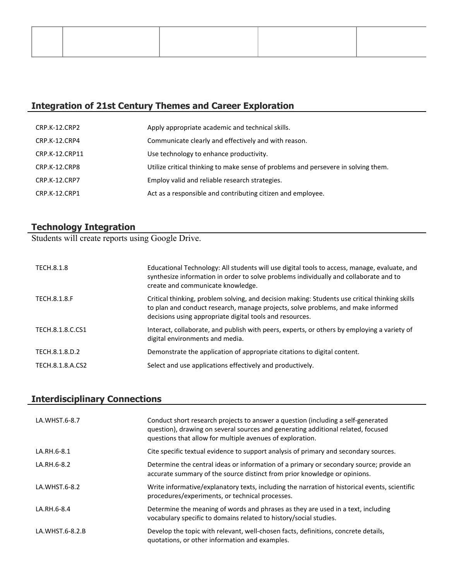# **Integration of 21st Century Themes and Career Exploration**

| CRP.K-12.CRP2        | Apply appropriate academic and technical skills.                                   |
|----------------------|------------------------------------------------------------------------------------|
| CRP.K-12.CRP4        | Communicate clearly and effectively and with reason.                               |
| CRP.K-12.CRP11       | Use technology to enhance productivity.                                            |
| CRP.K-12.CRP8        | Utilize critical thinking to make sense of problems and persevere in solving them. |
| <b>CRP.K-12.CRP7</b> | Employ valid and reliable research strategies.                                     |
| CRP.K-12.CRP1        | Act as a responsible and contributing citizen and employee.                        |

## **Technology Integration**

Students will create reports using Google Drive.

| TECH.8.1.8       | Educational Technology: All students will use digital tools to access, manage, evaluate, and<br>synthesize information in order to solve problems individually and collaborate and to<br>create and communicate knowledge.                     |
|------------------|------------------------------------------------------------------------------------------------------------------------------------------------------------------------------------------------------------------------------------------------|
| TECH.8.1.8.F     | Critical thinking, problem solving, and decision making: Students use critical thinking skills<br>to plan and conduct research, manage projects, solve problems, and make informed<br>decisions using appropriate digital tools and resources. |
| TECH.8.1.8.C.CS1 | Interact, collaborate, and publish with peers, experts, or others by employing a variety of<br>digital environments and media.                                                                                                                 |
| TECH.8.1.8.D.2   | Demonstrate the application of appropriate citations to digital content.                                                                                                                                                                       |
| TECH.8.1.8.A.CS2 | Select and use applications effectively and productively.                                                                                                                                                                                      |

# **Interdisciplinary Connections**

| LA.WHST.6-8.7   | Conduct short research projects to answer a question (including a self-generated<br>question), drawing on several sources and generating additional related, focused<br>questions that allow for multiple avenues of exploration. |
|-----------------|-----------------------------------------------------------------------------------------------------------------------------------------------------------------------------------------------------------------------------------|
| LA.RH.6-8.1     | Cite specific textual evidence to support analysis of primary and secondary sources.                                                                                                                                              |
| LA.RH.6-8.2     | Determine the central ideas or information of a primary or secondary source; provide an<br>accurate summary of the source distinct from prior knowledge or opinions.                                                              |
| LA.WHST.6-8.2   | Write informative/explanatory texts, including the narration of historical events, scientific<br>procedures/experiments, or technical processes.                                                                                  |
| LA.RH.6-8.4     | Determine the meaning of words and phrases as they are used in a text, including<br>vocabulary specific to domains related to history/social studies.                                                                             |
| LA.WHST.6-8.2.B | Develop the topic with relevant, well-chosen facts, definitions, concrete details,<br>quotations, or other information and examples.                                                                                              |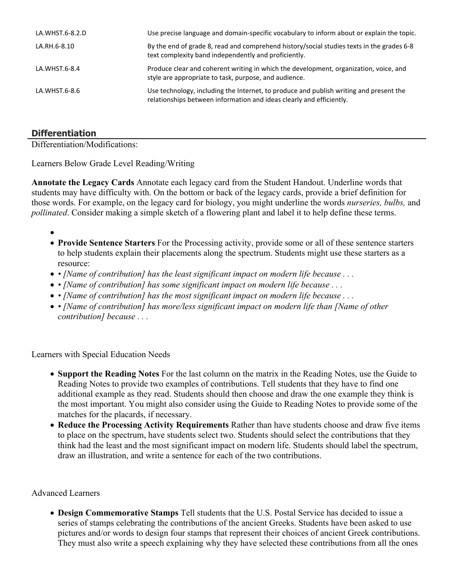| LA.WHST.6-8.2.D | Use precise language and domain-specific vocabulary to inform about or explain the topic.                                                                      |
|-----------------|----------------------------------------------------------------------------------------------------------------------------------------------------------------|
| LA.RH.6-8.10    | By the end of grade 8, read and comprehend history/social studies texts in the grades 6-8<br>text complexity band independently and proficiently.              |
| LA.WHST.6-8.4   | Produce clear and coherent writing in which the development, organization, voice, and<br>style are appropriate to task, purpose, and audience.                 |
| LA.WHST.6-8.6   | Use technology, including the Internet, to produce and publish writing and present the<br>relationships between information and ideas clearly and efficiently. |

## **Differentiation**

Differentiation/Modifications:

Learners Below Grade Level Reading/Writing

**Annotate the Legacy Cards** Annotate each legacy card from the Student Handout. Underline words that students may have difficulty with. On the bottom or back of the legacy cards, provide a brief definition for those words. For example, on the legacy card for biology, you might underline the words *nurseries, bulbs,* and *pollinated*. Consider making a simple sketch of a flowering plant and label it to help define these terms.

 $\bullet$ 

- **Provide Sentence Starters** For the Processing activity, provide some or all of these sentence starters to help students explain their placements along the spectrum. Students might use these starters as a resource:
- *[Name of contribution] has the least significant impact on modern life because . . .*
- *[Name of contribution] has some significant impact on modern life because . . .*
- *[Name of contribution] has the most significant impact on modern life because . . .*
- *[Name of contribution] has more/less significant impact on modern life than [Name of other contribution] because . . .*

Learners with Special Education Needs

- **Support the Reading Notes** For the last column on the matrix in the Reading Notes, use the Guide to Reading Notes to provide two examples of contributions. Tell students that they have to find one additional example as they read. Students should then choose and draw the one example they think is the most important. You might also consider using the Guide to Reading Notes to provide some of the matches for the placards, if necessary.
- **Reduce the Processing Activity Requirements** Rather than have students choose and draw five items to place on the spectrum, have students select two. Students should select the contributions that they think had the least and the most significant impact on modern life. Students should label the spectrum, draw an illustration, and write a sentence for each of the two contributions.

### Advanced Learners

 **Design Commemorative Stamps** Tell students that the U.S. Postal Service has decided to issue a series of stamps celebrating the contributions of the ancient Greeks. Students have been asked to use pictures and/or words to design four stamps that represent their choices of ancient Greek contributions. They must also write a speech explaining why they have selected these contributions from all the ones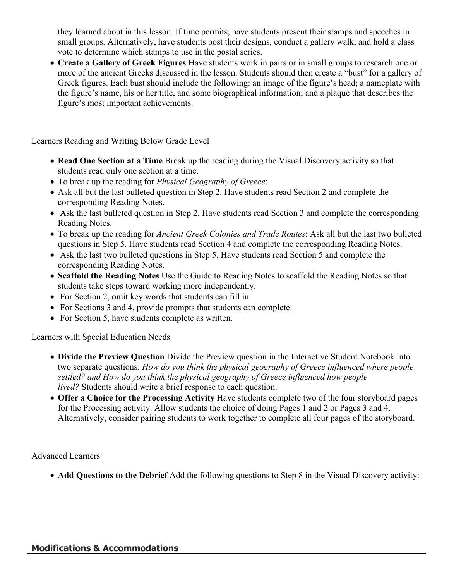they learned about in this lesson. If time permits, have students present their stamps and speeches in small groups. Alternatively, have students post their designs, conduct a gallery walk, and hold a class vote to determine which stamps to use in the postal series.

 **Create a Gallery of Greek Figures** Have students work in pairs or in small groups to research one or more of the ancient Greeks discussed in the lesson. Students should then create a "bust" for a gallery of Greek figures. Each bust should include the following: an image of the figure's head; a nameplate with the figure's name, his or her title, and some biographical information; and a plaque that describes the figure's most important achievements.

Learners Reading and Writing Below Grade Level

- **Read One Section at a Time** Break up the reading during the Visual Discovery activity so that students read only one section at a time.
- To break up the reading for *Physical Geography of Greece*:
- Ask all but the last bulleted question in Step 2. Have students read Section 2 and complete the corresponding Reading Notes.
- Ask the last bulleted question in Step 2. Have students read Section 3 and complete the corresponding Reading Notes.
- To break up the reading for *Ancient Greek Colonies and Trade Routes*: Ask all but the last two bulleted questions in Step 5. Have students read Section 4 and complete the corresponding Reading Notes.
- Ask the last two bulleted questions in Step 5. Have students read Section 5 and complete the corresponding Reading Notes.
- **Scaffold the Reading Notes** Use the Guide to Reading Notes to scaffold the Reading Notes so that students take steps toward working more independently.
- For Section 2, omit key words that students can fill in.
- For Sections 3 and 4, provide prompts that students can complete.
- For Section 5, have students complete as written.

Learners with Special Education Needs

- **Divide the Preview Question** Divide the Preview question in the Interactive Student Notebook into two separate questions: *How do you think the physical geography of Greece influenced where people settled? and How do you think the physical geography of Greece influenced how people lived?* Students should write a brief response to each question.
- **Offer a Choice for the Processing Activity** Have students complete two of the four storyboard pages for the Processing activity. Allow students the choice of doing Pages 1 and 2 or Pages 3 and 4. Alternatively, consider pairing students to work together to complete all four pages of the storyboard.

Advanced Learners

**Add Questions to the Debrief** Add the following questions to Step 8 in the Visual Discovery activity: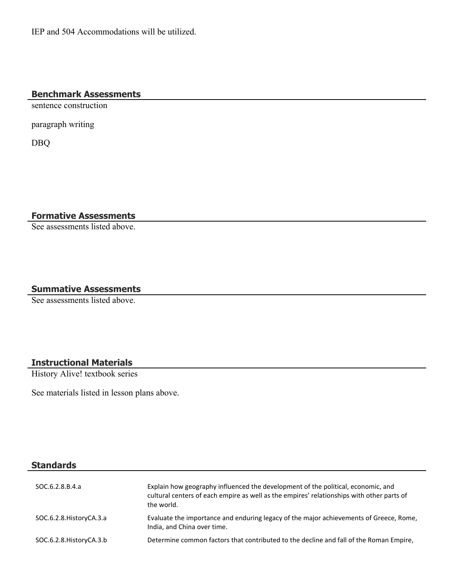## **Benchmark Assessments**

sentence construction

paragraph writing

DBQ

**Formative Assessments**

See assessments listed above.

## **Summative Assessments**

See assessments listed above.

## **Instructional Materials**

History Alive! textbook series

See materials listed in lesson plans above.

## **Standards**

| SOC.6.2.8.B.4.a           | Explain how geography influenced the development of the political, economic, and<br>cultural centers of each empire as well as the empires' relationships with other parts of<br>the world. |
|---------------------------|---------------------------------------------------------------------------------------------------------------------------------------------------------------------------------------------|
| SOC.6.2.8. History CA.3.a | Evaluate the importance and enduring legacy of the major achievements of Greece, Rome,<br>India, and China over time.                                                                       |
| SOC.6.2.8. History CA.3.b | Determine common factors that contributed to the decline and fall of the Roman Empire,                                                                                                      |